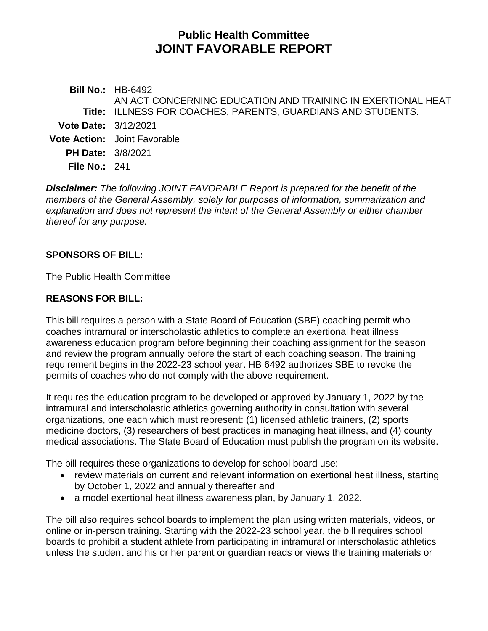# **Public Health Committee JOINT FAVORABLE REPORT**

**Bill No.:** HB-6492 **Title:** ILLNESS FOR COACHES, PARENTS, GUARDIANS AND STUDENTS. AN ACT CONCERNING EDUCATION AND TRAINING IN EXERTIONAL HEAT **Vote Date:** 3/12/2021 **Vote Action:** Joint Favorable **PH Date:** 3/8/2021 **File No.:** 241

*Disclaimer: The following JOINT FAVORABLE Report is prepared for the benefit of the members of the General Assembly, solely for purposes of information, summarization and explanation and does not represent the intent of the General Assembly or either chamber thereof for any purpose.*

## **SPONSORS OF BILL:**

The Public Health Committee

## **REASONS FOR BILL:**

This bill requires a person with a State Board of Education (SBE) coaching permit who coaches intramural or interscholastic athletics to complete an exertional heat illness awareness education program before beginning their coaching assignment for the season and review the program annually before the start of each coaching season. The training requirement begins in the 2022-23 school year. HB 6492 authorizes SBE to revoke the permits of coaches who do not comply with the above requirement.

It requires the education program to be developed or approved by January 1, 2022 by the intramural and interscholastic athletics governing authority in consultation with several organizations, one each which must represent: (1) licensed athletic trainers, (2) sports medicine doctors, (3) researchers of best practices in managing heat illness, and (4) county medical associations. The State Board of Education must publish the program on its website.

The bill requires these organizations to develop for school board use:

- review materials on current and relevant information on exertional heat illness, starting by October 1, 2022 and annually thereafter and
- a model exertional heat illness awareness plan, by January 1, 2022.

The bill also requires school boards to implement the plan using written materials, videos, or online or in-person training. Starting with the 2022-23 school year, the bill requires school boards to prohibit a student athlete from participating in intramural or interscholastic athletics unless the student and his or her parent or guardian reads or views the training materials or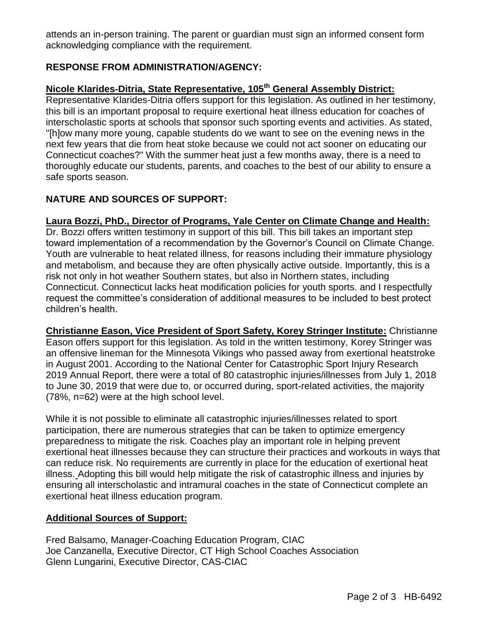attends an in-person training. The parent or guardian must sign an informed consent form acknowledging compliance with the requirement.

# **RESPONSE FROM ADMINISTRATION/AGENCY:**

# **Nicole Klarides-Ditria, State Representative, 105th General Assembly District:**

Representative Klarides-Ditria offers support for this legislation. As outlined in her testimony, this bill is an important proposal to require exertional heat illness education for coaches of interscholastic sports at schools that sponsor such sporting events and activities. As stated, "[h]ow many more young, capable students do we want to see on the evening news in the next few years that die from heat stoke because we could not act sooner on educating our Connecticut coaches?" With the summer heat just a few months away, there is a need to thoroughly educate our students, parents, and coaches to the best of our ability to ensure a safe sports season.

# **NATURE AND SOURCES OF SUPPORT:**

**Laura Bozzi, PhD., Director of Programs, Yale Center on Climate Change and Health:** Dr. Bozzi offers written testimony in support of this bill. This bill takes an important step toward implementation of a recommendation by the Governor's Council on Climate Change. Youth are vulnerable to heat related illness, for reasons including their immature physiology and metabolism, and because they are often physically active outside. Importantly, this is a risk not only in hot weather Southern states, but also in Northern states, including Connecticut. Connecticut lacks heat modification policies for youth sports. and I respectfully request the committee's consideration of additional measures to be included to best protect children's health.

**Christianne Eason, Vice President of Sport Safety, Korey Stringer Institute:** Christianne Eason offers support for this legislation. As told in the written testimony, Korey Stringer was an offensive lineman for the Minnesota Vikings who passed away from exertional heatstroke in August 2001. According to the National Center for Catastrophic Sport Injury Research 2019 Annual Report, there were a total of 80 catastrophic injuries/illnesses from July 1, 2018 to June 30, 2019 that were due to, or occurred during, sport-related activities, the majority (78%, n=62) were at the high school level.

While it is not possible to eliminate all catastrophic injuries/illnesses related to sport participation, there are numerous strategies that can be taken to optimize emergency preparedness to mitigate the risk. Coaches play an important role in helping prevent exertional heat illnesses because they can structure their practices and workouts in ways that can reduce risk. No requirements are currently in place for the education of exertional heat illness. Adopting this bill would help mitigate the risk of catastrophic illness and injuries by ensuring all interscholastic and intramural coaches in the state of Connecticut complete an exertional heat illness education program.

#### **Additional Sources of Support:**

Fred Balsamo, Manager-Coaching Education Program, CIAC Joe Canzanella, Executive Director, CT High School Coaches Association Glenn Lungarini, Executive Director, CAS-CIAC